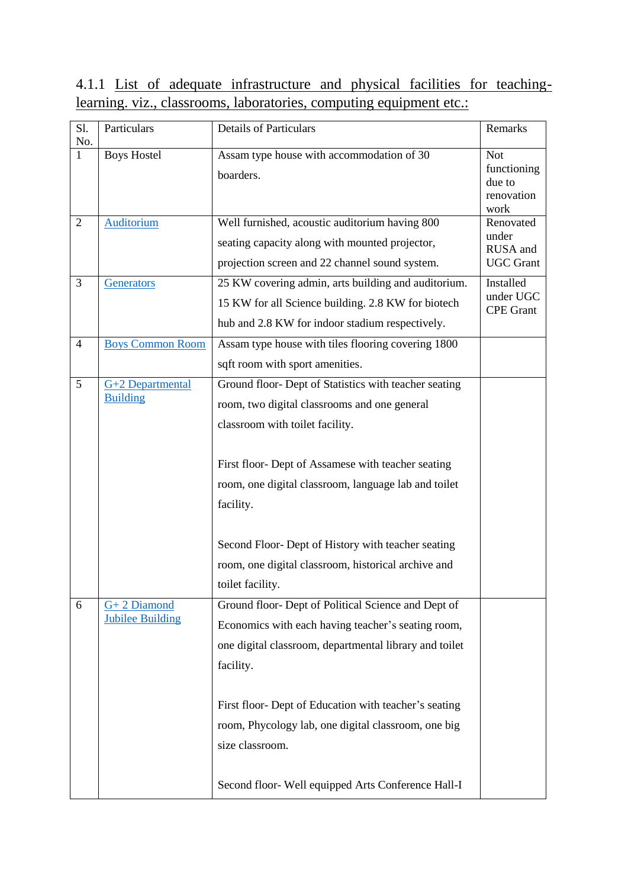## 4.1.1 List of adequate infrastructure and physical facilities for teachinglearning. viz., classrooms, laboratories, computing equipment etc.:

| S1.<br>No.     | Particulars                              | <b>Details of Particulars</b>                                                                                                                                                                                                                                                                                                                                                                        | Remarks                                                   |
|----------------|------------------------------------------|------------------------------------------------------------------------------------------------------------------------------------------------------------------------------------------------------------------------------------------------------------------------------------------------------------------------------------------------------------------------------------------------------|-----------------------------------------------------------|
| $\mathbf{1}$   | <b>Boys Hostel</b>                       | Assam type house with accommodation of 30<br>boarders.                                                                                                                                                                                                                                                                                                                                               | <b>Not</b><br>functioning<br>due to<br>renovation<br>work |
| $\overline{2}$ | <b>Auditorium</b>                        | Well furnished, acoustic auditorium having 800<br>seating capacity along with mounted projector,<br>projection screen and 22 channel sound system.                                                                                                                                                                                                                                                   | Renovated<br>under<br>RUSA and<br><b>UGC Grant</b>        |
| 3              | Generators                               | 25 KW covering admin, arts building and auditorium.<br>15 KW for all Science building. 2.8 KW for biotech<br>hub and 2.8 KW for indoor stadium respectively.                                                                                                                                                                                                                                         | Installed<br>under UGC<br><b>CPE</b> Grant                |
| $\overline{4}$ | <b>Boys Common Room</b>                  | Assam type house with tiles flooring covering 1800<br>sqft room with sport amenities.                                                                                                                                                                                                                                                                                                                |                                                           |
| 5              | G+2 Departmental<br><b>Building</b>      | Ground floor- Dept of Statistics with teacher seating<br>room, two digital classrooms and one general<br>classroom with toilet facility.<br>First floor- Dept of Assamese with teacher seating<br>room, one digital classroom, language lab and toilet<br>facility.<br>Second Floor- Dept of History with teacher seating<br>room, one digital classroom, historical archive and<br>toilet facility. |                                                           |
| 6              | $G+2$ Diamond<br><b>Jubilee Building</b> | Ground floor- Dept of Political Science and Dept of<br>Economics with each having teacher's seating room,<br>one digital classroom, departmental library and toilet<br>facility.<br>First floor- Dept of Education with teacher's seating<br>room, Phycology lab, one digital classroom, one big<br>size classroom.<br>Second floor- Well equipped Arts Conference Hall-I                            |                                                           |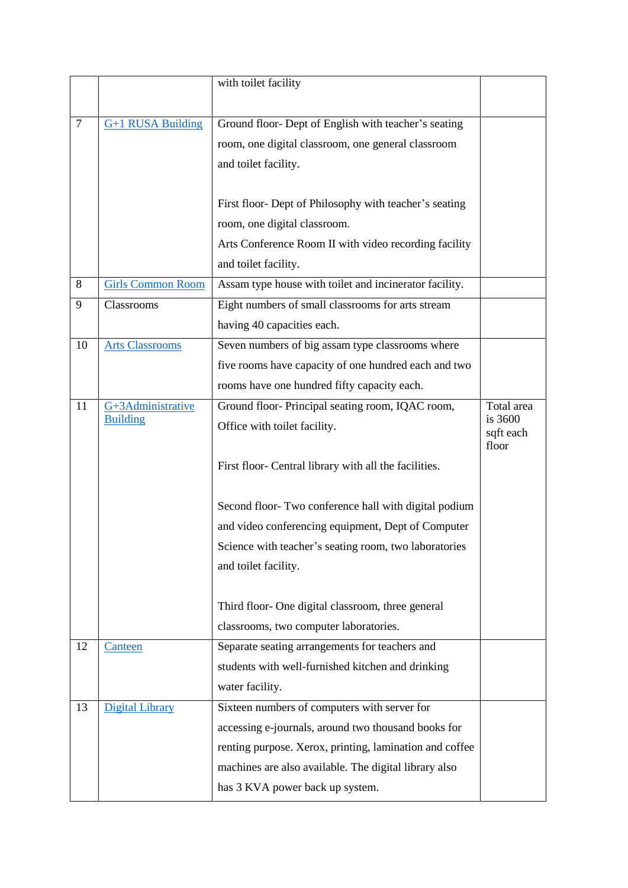|                |                          | with toilet facility                                    |                      |
|----------------|--------------------------|---------------------------------------------------------|----------------------|
|                |                          |                                                         |                      |
| $\overline{7}$ | G+1 RUSA Building        | Ground floor- Dept of English with teacher's seating    |                      |
|                |                          | room, one digital classroom, one general classroom      |                      |
|                |                          | and toilet facility.                                    |                      |
|                |                          |                                                         |                      |
|                |                          | First floor- Dept of Philosophy with teacher's seating  |                      |
|                |                          | room, one digital classroom.                            |                      |
|                |                          | Arts Conference Room II with video recording facility   |                      |
|                |                          | and toilet facility.                                    |                      |
| 8              | <b>Girls Common Room</b> | Assam type house with toilet and incinerator facility.  |                      |
| 9              | Classrooms               | Eight numbers of small classrooms for arts stream       |                      |
|                |                          | having 40 capacities each.                              |                      |
| 10             | <b>Arts Classrooms</b>   | Seven numbers of big assam type classrooms where        |                      |
|                |                          | five rooms have capacity of one hundred each and two    |                      |
|                |                          | rooms have one hundred fifty capacity each.             |                      |
| 11             | G+3Administrative        | Ground floor-Principal seating room, IQAC room,         | Total area           |
|                | <b>Building</b>          | Office with toilet facility.                            | is 3600<br>sqft each |
|                |                          |                                                         | floor                |
|                |                          | First floor- Central library with all the facilities.   |                      |
|                |                          |                                                         |                      |
|                |                          | Second floor- Two conference hall with digital podium   |                      |
|                |                          | and video conferencing equipment, Dept of Computer      |                      |
|                |                          | Science with teacher's seating room, two laboratories   |                      |
|                |                          | and toilet facility.                                    |                      |
|                |                          |                                                         |                      |
|                |                          | Third floor- One digital classroom, three general       |                      |
|                |                          | classrooms, two computer laboratories.                  |                      |
| 12             | Canteen                  | Separate seating arrangements for teachers and          |                      |
|                |                          | students with well-furnished kitchen and drinking       |                      |
|                |                          | water facility.                                         |                      |
| 13             | Digital Library          | Sixteen numbers of computers with server for            |                      |
|                |                          | accessing e-journals, around two thousand books for     |                      |
|                |                          | renting purpose. Xerox, printing, lamination and coffee |                      |
|                |                          | machines are also available. The digital library also   |                      |
|                |                          | has 3 KVA power back up system.                         |                      |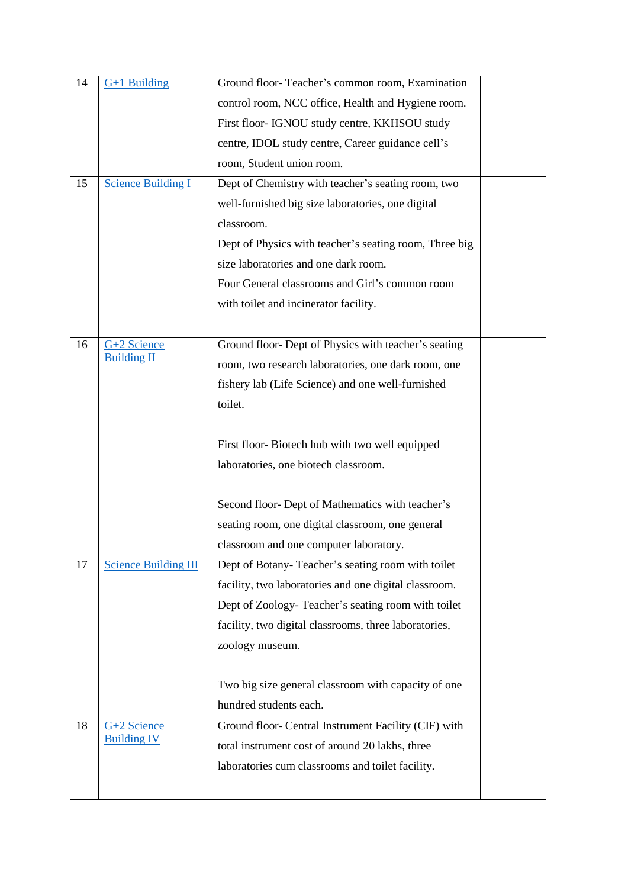| 14 | $G+1$ Building              | Ground floor-Teacher's common room, Examination        |  |
|----|-----------------------------|--------------------------------------------------------|--|
|    |                             | control room, NCC office, Health and Hygiene room.     |  |
|    |                             | First floor- IGNOU study centre, KKHSOU study          |  |
|    |                             | centre, IDOL study centre, Career guidance cell's      |  |
|    |                             | room, Student union room.                              |  |
| 15 | <b>Science Building I</b>   | Dept of Chemistry with teacher's seating room, two     |  |
|    |                             | well-furnished big size laboratories, one digital      |  |
|    |                             | classroom.                                             |  |
|    |                             | Dept of Physics with teacher's seating room, Three big |  |
|    |                             | size laboratories and one dark room.                   |  |
|    |                             | Four General classrooms and Girl's common room         |  |
|    |                             | with toilet and incinerator facility.                  |  |
|    |                             |                                                        |  |
| 16 | G+2 Science                 | Ground floor- Dept of Physics with teacher's seating   |  |
|    | <b>Building II</b>          | room, two research laboratories, one dark room, one    |  |
|    |                             | fishery lab (Life Science) and one well-furnished      |  |
|    |                             | toilet.                                                |  |
|    |                             |                                                        |  |
|    |                             | First floor-Biotech hub with two well equipped         |  |
|    |                             | laboratories, one biotech classroom.                   |  |
|    |                             |                                                        |  |
|    |                             | Second floor- Dept of Mathematics with teacher's       |  |
|    |                             | seating room, one digital classroom, one general       |  |
|    |                             | classroom and one computer laboratory.                 |  |
| 17 | <b>Science Building III</b> | Dept of Botany-Teacher's seating room with toilet      |  |
|    |                             | facility, two laboratories and one digital classroom.  |  |
|    |                             | Dept of Zoology-Teacher's seating room with toilet     |  |
|    |                             | facility, two digital classrooms, three laboratories,  |  |
|    |                             | zoology museum.                                        |  |
|    |                             |                                                        |  |
|    |                             | Two big size general classroom with capacity of one    |  |
|    |                             | hundred students each.                                 |  |
| 18 | G+2 Science                 | Ground floor- Central Instrument Facility (CIF) with   |  |
|    | <b>Building IV</b>          | total instrument cost of around 20 lakhs, three        |  |
|    |                             | laboratories cum classrooms and toilet facility.       |  |
|    |                             |                                                        |  |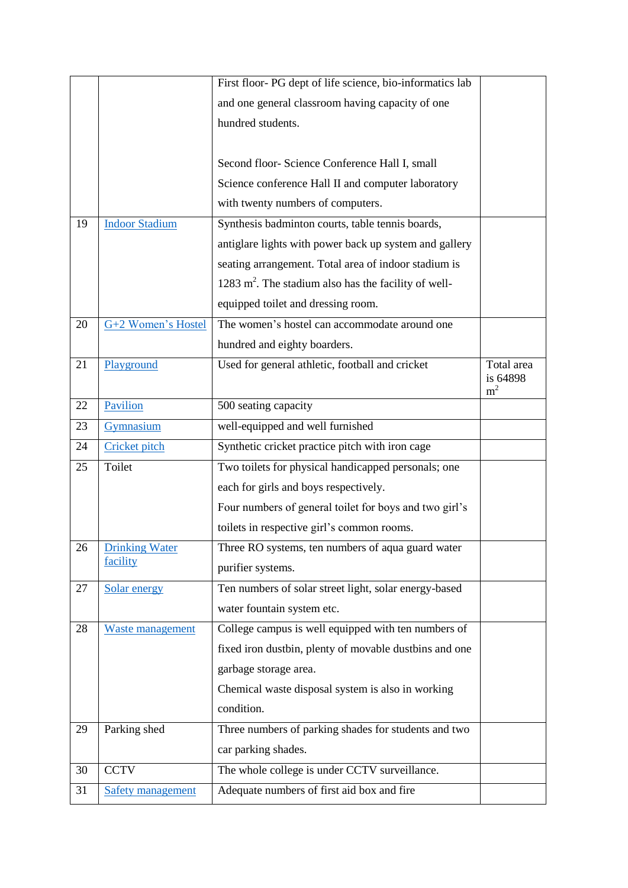|    |                         | First floor- PG dept of life science, bio-informatics lab        |                                          |
|----|-------------------------|------------------------------------------------------------------|------------------------------------------|
|    |                         | and one general classroom having capacity of one                 |                                          |
|    |                         | hundred students.                                                |                                          |
|    |                         |                                                                  |                                          |
|    |                         | Second floor- Science Conference Hall I, small                   |                                          |
|    |                         | Science conference Hall II and computer laboratory               |                                          |
|    |                         | with twenty numbers of computers.                                |                                          |
| 19 | <b>Indoor Stadium</b>   | Synthesis badminton courts, table tennis boards,                 |                                          |
|    |                         | antiglare lights with power back up system and gallery           |                                          |
|    |                         | seating arrangement. Total area of indoor stadium is             |                                          |
|    |                         | 1283 m <sup>2</sup> . The stadium also has the facility of well- |                                          |
|    |                         | equipped toilet and dressing room.                               |                                          |
| 20 | G+2 Women's Hostel      | The women's hostel can accommodate around one                    |                                          |
|    |                         | hundred and eighty boarders.                                     |                                          |
| 21 | Playground              | Used for general athletic, football and cricket                  | Total area<br>is 64898<br>m <sup>2</sup> |
| 22 | Pavilion                | 500 seating capacity                                             |                                          |
| 23 | Gymnasium               | well-equipped and well furnished                                 |                                          |
| 24 | Cricket pitch           | Synthetic cricket practice pitch with iron cage                  |                                          |
| 25 | Toilet                  | Two toilets for physical handicapped personals; one              |                                          |
|    |                         | each for girls and boys respectively.                            |                                          |
|    |                         | Four numbers of general toilet for boys and two girl's           |                                          |
|    |                         | toilets in respective girl's common rooms.                       |                                          |
| 26 | <b>Drinking Water</b>   | Three RO systems, ten numbers of aqua guard water                |                                          |
|    | facility                | purifier systems.                                                |                                          |
| 27 | Solar energy            | Ten numbers of solar street light, solar energy-based            |                                          |
|    |                         | water fountain system etc.                                       |                                          |
| 28 | <b>Waste management</b> | College campus is well equipped with ten numbers of              |                                          |
|    |                         | fixed iron dustbin, plenty of movable dustbins and one           |                                          |
|    |                         | garbage storage area.                                            |                                          |
|    |                         | Chemical waste disposal system is also in working                |                                          |
|    |                         | condition.                                                       |                                          |
|    |                         |                                                                  |                                          |
| 29 | Parking shed            | Three numbers of parking shades for students and two             |                                          |
|    |                         | car parking shades.                                              |                                          |
| 30 | <b>CCTV</b>             | The whole college is under CCTV surveillance.                    |                                          |